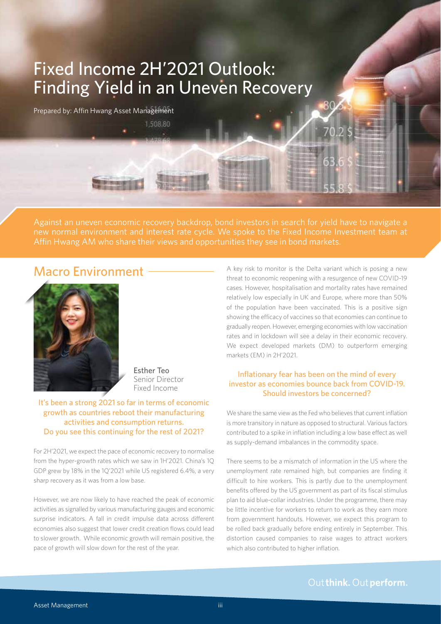# Fixed Income 2H'2021 Outlook: Finding Yield in an Uneven Recovery

1,508.80

Prepared by: Affin Hwang Asset Management

Against an uneven economic recovery backdrop, bond investors in search for yield have to navigate a Affin Hwang AM who share their views and opportunities they see in bond markets.

# Macro Environment -



Esther Teo Senior Director Fixed Income

It's been a strong 2021 so far in terms of economic growth as countries reboot their manufacturing activities and consumption returns. Do you see this continuing for the rest of 2021?

For 2H'2021, we expect the pace of economic recovery to normalise from the hyper-growth rates which we saw in 1H'2021. China's 1Q GDP grew by 18% in the 1Q'2021 while US registered 6.4%, a very sharp recovery as it was from a low base.

However, we are now likely to have reached the peak of economic activities as signalled by various manufacturing gauges and economic surprise indicators. A fall in credit impulse data across different economies also suggest that lower credit creation flows could lead to slower growth. While economic growth will remain positive, the pace of growth will slow down for the rest of the year.

A key risk to monitor is the Delta variant which is posing a new threat to economic reopening with a resurgence of new COVID-19 cases. However, hospitalisation and mortality rates have remained relatively low especially in UK and Europe, where more than 50% of the population have been vaccinated. This is a positive sign showing the efficacy of vaccines so that economies can continue to gradually reopen. However, emerging economies with low vaccination rates and in lockdown will see a delay in their economic recovery. We expect developed markets (DM) to outperform emerging markets (EM) in 2H'2021.

30

#### Inflationary fear has been on the mind of every investor as economies bounce back from COVID-19. Should investors be concerned?

We share the same view as the Fed who believes that current inflation is more transitory in nature as opposed to structural. Various factors contributed to a spike in inflation including a low base effect as well as supply-demand imbalances in the commodity space.

There seems to be a mismatch of information in the US where the unemployment rate remained high, but companies are finding it difficult to hire workers. This is partly due to the unemployment benefits offered by the US government as part of its fiscal stimulus plan to aid blue-collar industries. Under the programme, there may be little incentive for workers to return to work as they earn more from government handouts. However, we expect this program to be rolled back gradually before ending entirely in September. This distortion caused companies to raise wages to attract workers which also contributed to higher inflation.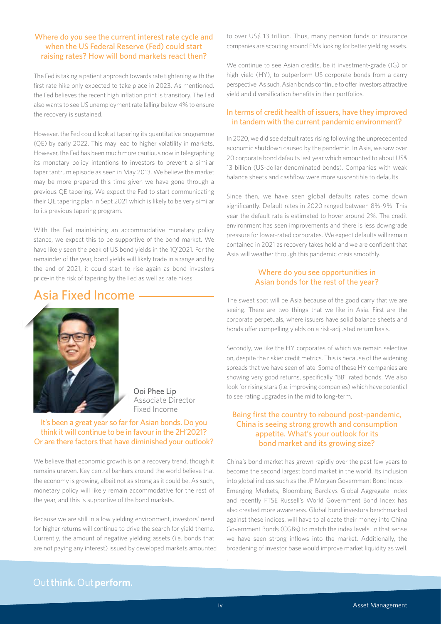#### Where do you see the current interest rate cycle and when the US Federal Reserve (Fed) could start raising rates? How will bond markets react then?

The Fed is taking a patient approach towards rate tightening with the first rate hike only expected to take place in 2023. As mentioned, the Fed believes the recent high inflation print is transitory. The Fed also wants to see US unemployment rate falling below 4% to ensure the recovery is sustained.

However, the Fed could look at tapering its quantitative programme (QE) by early 2022. This may lead to higher volatility in markets. However, the Fed has been much more cautious now in telegraphing its monetary policy intentions to investors to prevent a similar taper tantrum episode as seen in May 2013. We believe the market may be more prepared this time given we have gone through a previous QE tapering. We expect the Fed to start communicating their QE tapering plan in Sept 2021 which is likely to be very similar to its previous tapering program.

With the Fed maintaining an accommodative monetary policy stance, we expect this to be supportive of the bond market. We have likely seen the peak of US bond yields in the 1Q'2021. For the remainder of the year, bond yields will likely trade in a range and by the end of 2021, it could start to rise again as bond investors price-in the risk of tapering by the Fed as well as rate hikes.

### Asia Fixed Income



Ooi Phee Lip Associate Director Fixed Income

#### It's been a great year so far for Asian bonds. Do you think it will continue to be in favour in the 2H'2021? Or are there factors that have diminished your outlook?

We believe that economic growth is on a recovery trend, though it remains uneven. Key central bankers around the world believe that the economy is growing, albeit not as strong as it could be. As such, monetary policy will likely remain accommodative for the rest of the year, and this is supportive of the bond markets.

Because we are still in a low yielding environment, investors' need for higher returns will continue to drive the search for yield theme. Currently, the amount of negative yielding assets (i.e. bonds that are not paying any interest) issued by developed markets amounted to over US\$ 13 trillion. Thus, many pension funds or insurance companies are scouting around EMs looking for better yielding assets.

We continue to see Asian credits, be it investment-grade (IG) or high-yield (HY), to outperform US corporate bonds from a carry perspective. As such, Asian bonds continue to offer investors attractive yield and diversification benefits in their portfolios.

#### In terms of credit health of issuers, have they improved in tandem with the current pandemic environment?

In 2020, we did see default rates rising following the unprecedented economic shutdown caused by the pandemic. In Asia, we saw over 20 corporate bond defaults last year which amounted to about US\$ 13 billion (US-dollar denominated bonds). Companies with weak balance sheets and cashflow were more susceptible to defaults.

Since then, we have seen global defaults rates come down significantly. Default rates in 2020 ranged between 8%-9%. This year the default rate is estimated to hover around 2%. The credit environment has seen improvements and there is less downgrade pressure for lower-rated corporates. We expect defaults will remain contained in 2021 as recovery takes hold and we are confident that Asia will weather through this pandemic crisis smoothly.

#### Where do you see opportunities in Asian bonds for the rest of the year?

The sweet spot will be Asia because of the good carry that we are seeing. There are two things that we like in Asia. First are the corporate perpetuals, where issuers have solid balance sheets and bonds offer compelling yields on a risk-adjusted return basis.

Secondly, we like the HY corporates of which we remain selective on, despite the riskier credit metrics. This is because of the widening spreads that we have seen of late. Some of these HY companies are showing very good returns, specifically "BB" rated bonds. We also look for rising stars (i.e. improving companies) which have potential to see rating upgrades in the mid to long-term.

#### Being first the country to rebound post-pandemic, China is seeing strong growth and consumption appetite. What's your outlook for its bond market and its growing size?

China's bond market has grown rapidly over the past few years to become the second largest bond market in the world. Its inclusion into global indices such as the JP Morgan Government Bond Index – Emerging Markets, Bloomberg Barclays Global-Aggregate Index and recently FTSE Russell's World Government Bond Index has also created more awareness. Global bond investors benchmarked against these indices, will have to allocate their money into China Government Bonds (CGBs) to match the index levels. In that sense we have seen strong inflows into the market. Additionally, the broadening of investor base would improve market liquidity as well.

### Out think. Out perform.

,